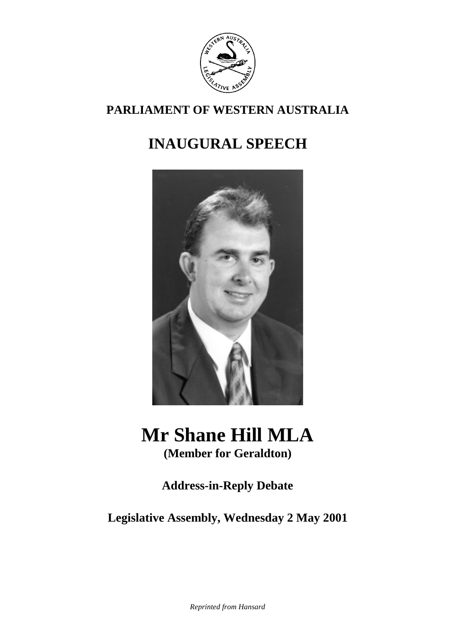

### **PARLIAMENT OF WESTERN AUSTRALIA**

## **INAUGURAL SPEECH**



# **Mr Shane Hill MLA**

**(Member for Geraldton)**

## **Address-in-Reply Debate**

**Legislative Assembly, Wednesday 2 May 2001**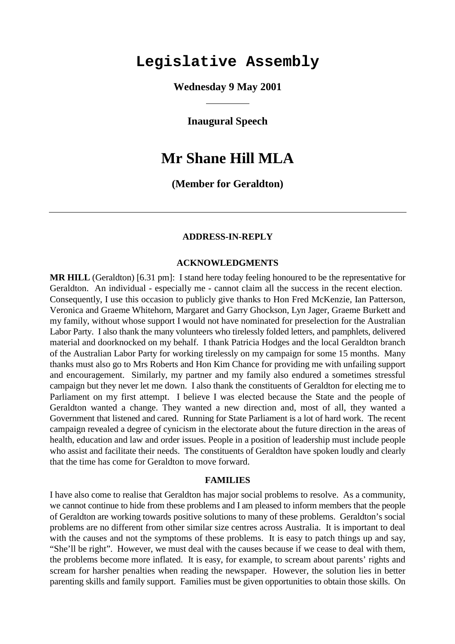## **Legislative Assembly**

**Wednesday 9 May 2001**

**Inaugural Speech**

## **Mr Shane Hill MLA**

#### **(Member for Geraldton)**

#### **ADDRESS-IN-REPLY**

#### **ACKNOWLEDGMENTS**

**MR HILL** (Geraldton) [6.31 pm]: I stand here today feeling honoured to be the representative for Geraldton. An individual - especially me - cannot claim all the success in the recent election. Consequently, I use this occasion to publicly give thanks to Hon Fred McKenzie, Ian Patterson, Veronica and Graeme Whitehorn, Margaret and Garry Ghockson, Lyn Jager, Graeme Burkett and my family, without whose support I would not have nominated for preselection for the Australian Labor Party. I also thank the many volunteers who tirelessly folded letters, and pamphlets, delivered material and doorknocked on my behalf. I thank Patricia Hodges and the local Geraldton branch of the Australian Labor Party for working tirelessly on my campaign for some 15 months. Many thanks must also go to Mrs Roberts and Hon Kim Chance for providing me with unfailing support and encouragement. Similarly, my partner and my family also endured a sometimes stressful campaign but they never let me down. I also thank the constituents of Geraldton for electing me to Parliament on my first attempt. I believe I was elected because the State and the people of Geraldton wanted a change. They wanted a new direction and, most of all, they wanted a Government that listened and cared. Running for State Parliament is a lot of hard work. The recent campaign revealed a degree of cynicism in the electorate about the future direction in the areas of health, education and law and order issues. People in a position of leadership must include people who assist and facilitate their needs. The constituents of Geraldton have spoken loudly and clearly that the time has come for Geraldton to move forward.

#### **FAMILIES**

I have also come to realise that Geraldton has major social problems to resolve. As a community, we cannot continue to hide from these problems and I am pleased to inform members that the people of Geraldton are working towards positive solutions to many of these problems. Geraldton's social problems are no different from other similar size centres across Australia. It is important to deal with the causes and not the symptoms of these problems. It is easy to patch things up and say, "She'll be right". However, we must deal with the causes because if we cease to deal with them, the problems become more inflated. It is easy, for example, to scream about parents' rights and scream for harsher penalties when reading the newspaper. However, the solution lies in better parenting skills and family support. Families must be given opportunities to obtain those skills. On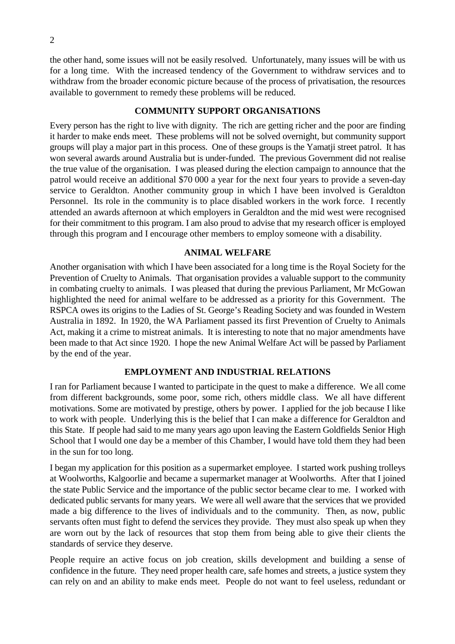the other hand, some issues will not be easily resolved. Unfortunately, many issues will be with us for a long time. With the increased tendency of the Government to withdraw services and to withdraw from the broader economic picture because of the process of privatisation, the resources available to government to remedy these problems will be reduced.

#### **COMMUNITY SUPPORT ORGANISATIONS**

Every person has the right to live with dignity. The rich are getting richer and the poor are finding it harder to make ends meet. These problems will not be solved overnight, but community support groups will play a major part in this process. One of these groups is the Yamatji street patrol. It has won several awards around Australia but is under-funded. The previous Government did not realise the true value of the organisation. I was pleased during the election campaign to announce that the patrol would receive an additional \$70 000 a year for the next four years to provide a seven-day service to Geraldton. Another community group in which I have been involved is Geraldton Personnel. Its role in the community is to place disabled workers in the work force. I recently attended an awards afternoon at which employers in Geraldton and the mid west were recognised for their commitment to this program. I am also proud to advise that my research officer is employed through this program and I encourage other members to employ someone with a disability.

#### **ANIMAL WELFARE**

Another organisation with which I have been associated for a long time is the Royal Society for the Prevention of Cruelty to Animals. That organisation provides a valuable support to the community in combating cruelty to animals. I was pleased that during the previous Parliament, Mr McGowan highlighted the need for animal welfare to be addressed as a priority for this Government. The RSPCA owes its origins to the Ladies of St. George's Reading Society and was founded in Western Australia in 1892. In 1920, the WA Parliament passed its first Prevention of Cruelty to Animals Act, making it a crime to mistreat animals. It is interesting to note that no major amendments have been made to that Act since 1920. I hope the new Animal Welfare Act will be passed by Parliament by the end of the year.

#### **EMPLOYMENT AND INDUSTRIAL RELATIONS**

I ran for Parliament because I wanted to participate in the quest to make a difference. We all come from different backgrounds, some poor, some rich, others middle class. We all have different motivations. Some are motivated by prestige, others by power. I applied for the job because I like to work with people. Underlying this is the belief that I can make a difference for Geraldton and this State. If people had said to me many years ago upon leaving the Eastern Goldfields Senior High School that I would one day be a member of this Chamber, I would have told them they had been in the sun for too long.

I began my application for this position as a supermarket employee. I started work pushing trolleys at Woolworths, Kalgoorlie and became a supermarket manager at Woolworths. After that I joined the state Public Service and the importance of the public sector became clear to me. I worked with dedicated public servants for many years. We were all well aware that the services that we provided made a big difference to the lives of individuals and to the community. Then, as now, public servants often must fight to defend the services they provide. They must also speak up when they are worn out by the lack of resources that stop them from being able to give their clients the standards of service they deserve.

People require an active focus on job creation, skills development and building a sense of confidence in the future. They need proper health care, safe homes and streets, a justice system they can rely on and an ability to make ends meet. People do not want to feel useless, redundant or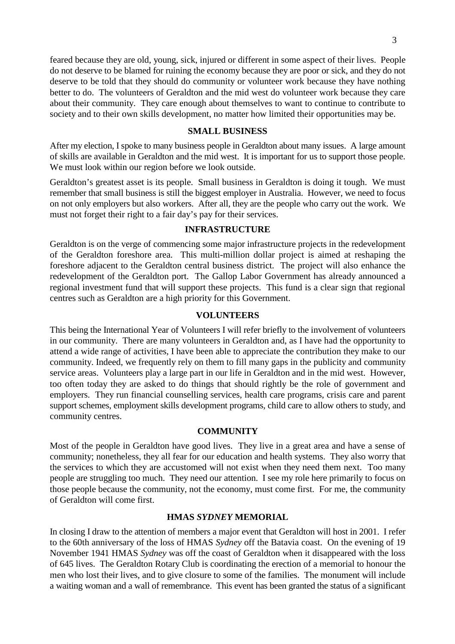feared because they are old, young, sick, injured or different in some aspect of their lives. People do not deserve to be blamed for ruining the economy because they are poor or sick, and they do not deserve to be told that they should do community or volunteer work because they have nothing better to do. The volunteers of Geraldton and the mid west do volunteer work because they care about their community. They care enough about themselves to want to continue to contribute to society and to their own skills development, no matter how limited their opportunities may be.

#### **SMALL BUSINESS**

After my election, I spoke to many business people in Geraldton about many issues. A large amount of skills are available in Geraldton and the mid west. It is important for us to support those people. We must look within our region before we look outside.

Geraldton's greatest asset is its people. Small business in Geraldton is doing it tough. We must remember that small business is still the biggest employer in Australia. However, we need to focus on not only employers but also workers. After all, they are the people who carry out the work. We must not forget their right to a fair day's pay for their services.

#### **INFRASTRUCTURE**

Geraldton is on the verge of commencing some major infrastructure projects in the redevelopment of the Geraldton foreshore area. This multi-million dollar project is aimed at reshaping the foreshore adjacent to the Geraldton central business district. The project will also enhance the redevelopment of the Geraldton port. The Gallop Labor Government has already announced a regional investment fund that will support these projects. This fund is a clear sign that regional centres such as Geraldton are a high priority for this Government.

#### **VOLUNTEERS**

This being the International Year of Volunteers I will refer briefly to the involvement of volunteers in our community. There are many volunteers in Geraldton and, as I have had the opportunity to attend a wide range of activities, I have been able to appreciate the contribution they make to our community. Indeed, we frequently rely on them to fill many gaps in the publicity and community service areas. Volunteers play a large part in our life in Geraldton and in the mid west. However, too often today they are asked to do things that should rightly be the role of government and employers. They run financial counselling services, health care programs, crisis care and parent support schemes, employment skills development programs, child care to allow others to study, and community centres.

#### **COMMUNITY**

Most of the people in Geraldton have good lives. They live in a great area and have a sense of community; nonetheless, they all fear for our education and health systems. They also worry that the services to which they are accustomed will not exist when they need them next. Too many people are struggling too much. They need our attention. I see my role here primarily to focus on those people because the community, not the economy, must come first. For me, the community of Geraldton will come first.

#### **HMAS** *SYDNEY* **MEMORIAL**

In closing I draw to the attention of members a major event that Geraldton will host in 2001. I refer to the 60th anniversary of the loss of HMAS *Sydney* off the Batavia coast. On the evening of 19 November 1941 HMAS *Sydney* was off the coast of Geraldton when it disappeared with the loss of 645 lives. The Geraldton Rotary Club is coordinating the erection of a memorial to honour the men who lost their lives, and to give closure to some of the families. The monument will include a waiting woman and a wall of remembrance. This event has been granted the status of a significant